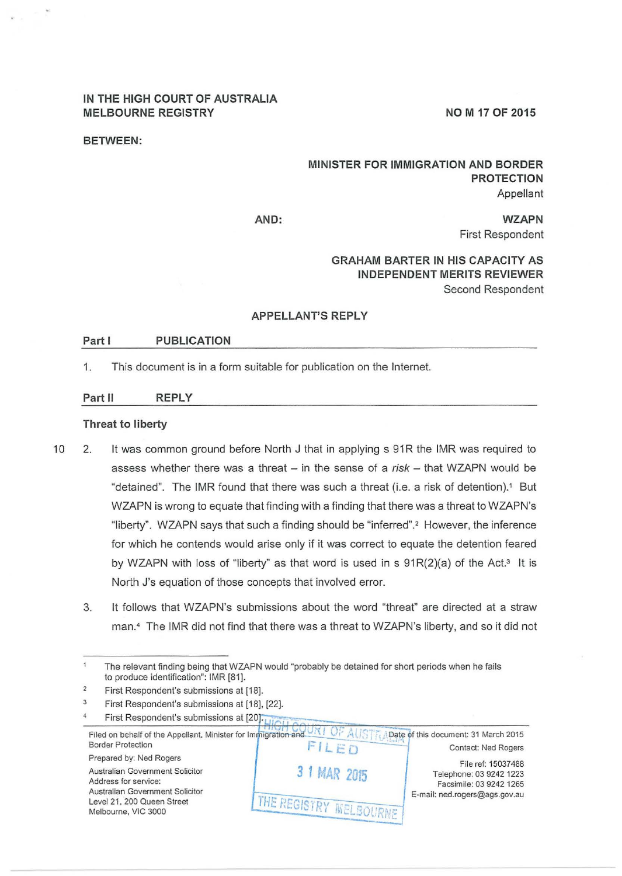## **IN THE HIGH COURT OF AUSTRALIA**  MELBOURNE REGISTRY **NOW A SEXUAL ASSESSMENT AND MILLING WAS A VIOLATED**

#### **BETWEEN:**

## **MINISTER FOR IMMIGRATION AND BORDER PROTECTION**  Appellant

**AND:** 

**WZAPN**  First Respondent

# **GRAHAM BARTER IN HIS CAPACITY AS INDEPENDENT MERITS REVIEWER**  Second Respondent

#### **APPELLANT'S REPLY**

#### Part **I** PUBLICATION

1. This document is in a form suitable for publication on the Internet.

#### **Part II REPLY**

## **Threat to liberty**

- 10 2. It was common ground before North J that in applying s 91R the IMR was required to assess whether there was a threat  $-$  in the sense of a risk  $-$  that WZAPN would be "detained". The IMR found that there was such a threat (i.e. a risk of detention). 1 But WZAPN is wrong to equate that finding with a finding that there was a threat to WZAPN's "liberty". WZAPN says that such a finding should be "inferred".2 However, the inference for which he contends would arise only if it was correct to equate the detention feared by WZAPN with loss of "liberty" as that word is used in s  $91R(2)(a)$  of the Act.<sup>3</sup> It is North J's equation of those concepts that involved error.
	- 3. It follows that WZAPN's submissions about the word "threat" are directed at a straw man. <sup>4</sup>The IMR did not find that there was a threat to WZAPN's liberty, and so it did not

<sup>4</sup>  First Respondent's submissions at [18], [22].<br>First Respondent's submissions at [20].



The relevant finding being that WZAPN would "probably be detained for short periods when he fails to produce identification": IMR [81].

 $\overline{2}$ First Respondent's submissions at [18).

 $\overline{3}$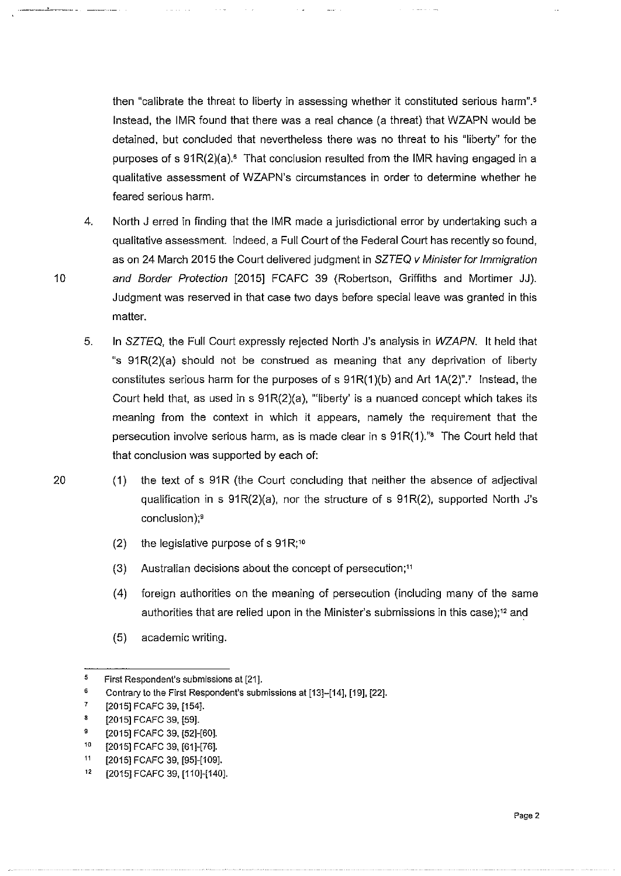then "calibrate the threat to liberty in assessing whether it constituted serious harm".' Instead, the IMR found that there was a real chance (a threat) that WZAPN would be detained, but concluded that nevertheless there was no threat to his "liberty" for the purposes of s  $91R(2)(a)$ .<sup>6</sup> That conclusion resulted from the IMR having engaged in a qualitative assessment of WZAPN's circumstances in order to determine whether he feared serious harm.

- 4. North J erred in finding that the IMR made a jurisdictional error by undertaking such a qualitative assessment. Indeed, a Full Court of the Federal Court has recently so found, as on 24 March 2015 the Court delivered judgment in SZTEQ *v* Minister for Immigration 10 and Border Protection [2015] FCAFC 39 (Robertson, Griffiths and Mortimer JJ). Judgment was reserved in that case two days before special leave was granted in this matter.
	- 5. In SZTEQ, the Full Court expressly rejected North J's analysis in WZAPN. It held that "s  $91R(2)(a)$  should not be construed as meaning that any deprivation of liberty constitutes serious harm for the purposes of s  $91R(1)(b)$  and Art  $1A(2)$ ".<sup>7</sup> Instead, the Court held that, as used in s  $91R(2)(a)$ , "liberty' is a nuanced concept which takes its meaning from the context in which it appears, namely the requirement that the persecution involve serious harm, as is made clear in  $s$  91 $R(1)$ ." The Court held that that conclusion was supported by each of:
- 20 (1) the text of s 91R (the Court concluding that neither the absence of adjectival qualification in s  $91R(2)(a)$ , nor the structure of s  $91R(2)$ , supported North J's conclusion);<sup>9</sup>
	- (2) the legislative purpose of s  $91R;^{10}$
	- (3) Australian decisions about the concept of persecution;<sup>11</sup>
	- (4) foreign authorities on the meaning of persecution (including many of the same authorities that are relied upon in the Minister's submissions in this case);<sup>12</sup> and
	- (5) academic writing.

<sup>5</sup>  First Respondent's submissions at [21].

<sup>6</sup>  Contrary to the First Respondent's submissions at [13]-[14], [19], [22].

<sup>7</sup>  [2015] FCAFC 39, [154].

<sup>8</sup>  [2015] FCAFC 39, [59].

<sup>9</sup>  [2015] FCAFC 39, [52]-[60].

<sup>10</sup>  [2015] FCAFC 39, [61]-[76].

<sup>11</sup>  [2015] FCAFC 39, [95]-[109].

<sup>12</sup>  [2015] FCAFC 39, [110]-[140].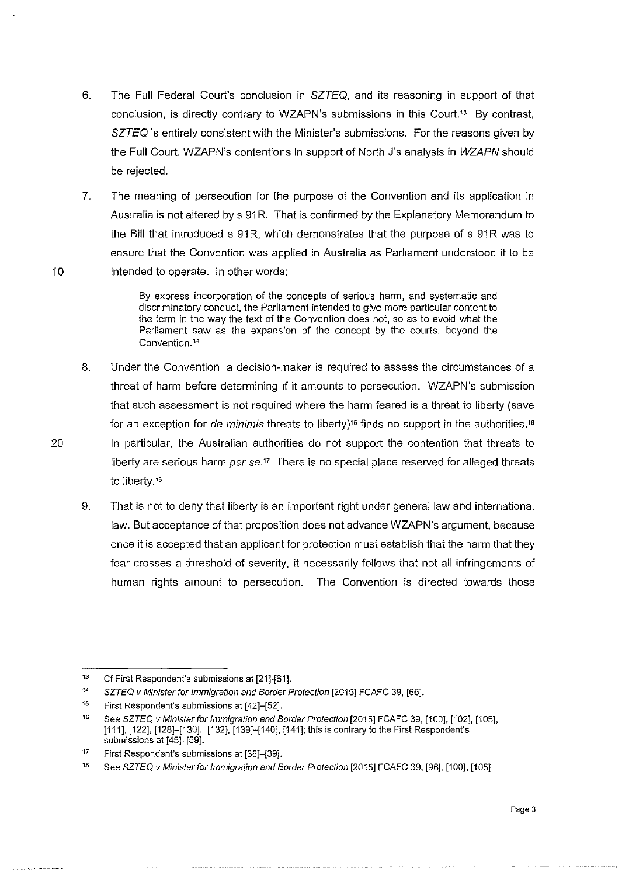- 6. The Full Federal Court's conclusion in SZTEQ, and its reasoning in support of that conclusion, is directly contrary to WZAPN's submissions in this Court.13 By contrast, SZTEQ is entirely consistent with the Minister's submissions. For the reasons given by the Full Court, WZAPN's contentions in support of North J's analysis in WZAPN should be rejected.
- 7. The meaning of persecution for the purpose of the Convention and its application in Australia is not altered by s 91R. That is confirmed by the Explanatory Memorandum to the Bill that introduced s 91R, which demonstrates that the purpose of s 91R was to ensure that the Convention was applied in Australia as Parliament understood it to be 10 intended to operate. In other words:

By express incorporation of the concepts of serious harm, and systematic and discriminatory conduct, the Parliament intended to give more particular content to the term in the way the text of the Convention does not, so as to avoid what the Parliament saw as the expansion of the concept by the courts, beyond the Convention.<sup>14</sup>

- 8. Under the Convention, a decision-maker is required to assess the circumstances of a threat of harm before determining if it amounts to persecution. WZAPN's submission that such assessment is not required where the harm feared is a threat to liberty (save for an exception for *de minimis* threats to liberty)" finds no support in the authorities. <sup>16</sup> 20 In particular, the Australian authorities do not support the contention that threats to liberty are serious harm per  $se^{17}$  There is no special place reserved for alleged threats to liberty.<sup>18</sup>
	- 9. That is not to deny that liberty is an important right under general law and international law. But acceptance of that proposition does not advance WZAPN's argument, because once it is accepted that an applicant for protection must establish that the harm that they fear crosses a threshold of severity, it necessarily follows that not all infringements of human rights amount to persecution. The Convention is directed towards those

<sup>13</sup>  Cf First Respondent's submissions at [21]-[61].

<sup>14</sup>  SZTEQ *v* Minister for Immigration and Border Protection [2015] FCAFC 39, [66].

<sup>15</sup>  First Respondent's submissions at [42]-[52].

<sup>16</sup>  See SZTEQ v Minister for Immigration and Border Protection [2015] FCAFC 39, [100], [102], [105], [111], [122], [128]-[130], [132], [139]-[140], [141]; this is contrary to the First Respondent's submissions at [45]-[59].

<sup>17</sup>  First Respondent's submissions at [36]-[39].

<sup>18</sup>  See SZTEQ v Minister for Immigration and Border Protection [2015] FCAFC 39, [96], [100], [105].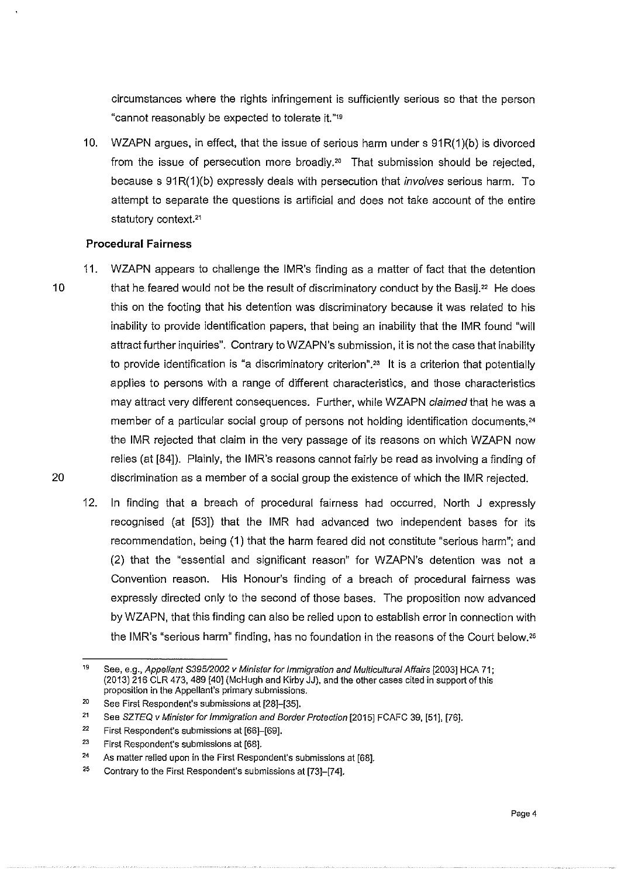circumstances where the rights infringement is sufficiently serious so that the person "cannot reasonably be expected to tolerate it.""

10. WZAPN argues, in effect, that the issue of serious harm under s 91R(1)(b) is divorced from the issue of persecution more broadly.<sup>20</sup> That submission should be rejected, because s 91R(1)(b) expressly deals with persecution that involves serious harm. To attempt to separate the questions is artificial and does not take account of the entire statutory context.<sup>21</sup>

## **Procedural Fairness**

- 11. WZAPN appears to challenge the IMR's finding as a matter of fact that the detention 10 that he feared would not be the result of discriminatory conduct by the Basij.<sup>22</sup> He does this on the footing that his detention was discriminatory because it was related to his inability to provide identification papers, that being an inability that the IMR found "will attract further inquiries". Contrary to WZAPN's submission, it is not the case that inability to provide identification is "a discriminatory criterion".<sup>23</sup> It is a criterion that potentially applies to persons with a range of different characteristics, and those characteristics may attract very different consequences. Further, while WZAPN claimed that he was a member of a particular social group of persons not holding identification documents,<sup>24</sup> the IMR rejected that claim in the very passage of its reasons on which WZAPN now relies (at [84]). Plainly, the IMR's reasons cannot fairly be read as involving a finding of 20 discrimination as a member of a social group the existence of which the IMR rejected.
	- 12. In finding that a breach of procedural fairness had occurred, North J expressly recognised (at [53]) that the IMR had advanced two independent bases for its recommendation, being (1) that the harm feared did not constitute "serious harm"; and (2) that the "essential and significant reason" for WZAPN's detention was not a Convention reason. His Honour's finding of a breach of procedural fairness was expressly directed only to the second of those bases. The proposition now advanced by WZAPN, that this finding can also be relied upon to establish error in connection with the IMR's "serious harm" finding, has no foundation in the reasons of the Court below."

<sup>19</sup>  See, e.g., Appellant \$395/2002 v Minister for Immigration and Multicultural Affairs [2003] HCA 71; (2013) 216 CLR 473,489 [40] (McHugh and Kirby JJ), and the other cases cited in support of this **proposition in the Appellant's primary submissions.** 

<sup>20</sup>  See First Respondent's submissions at [28]-[35).

<sup>21</sup>  See SZTEQ v Minister for Immigration and Border Protection [2015] FCAFC 39, [51], [76].

<sup>22</sup>  First Respondent's submissions at [66]-[69].

<sup>23</sup>  First Respondent's submissions at [68].

<sup>24</sup>  As matter relied upon in the First Respondent's submissions at [68].

<sup>25</sup>  Contrary to the First Respondent's submissions at [73]-[74].